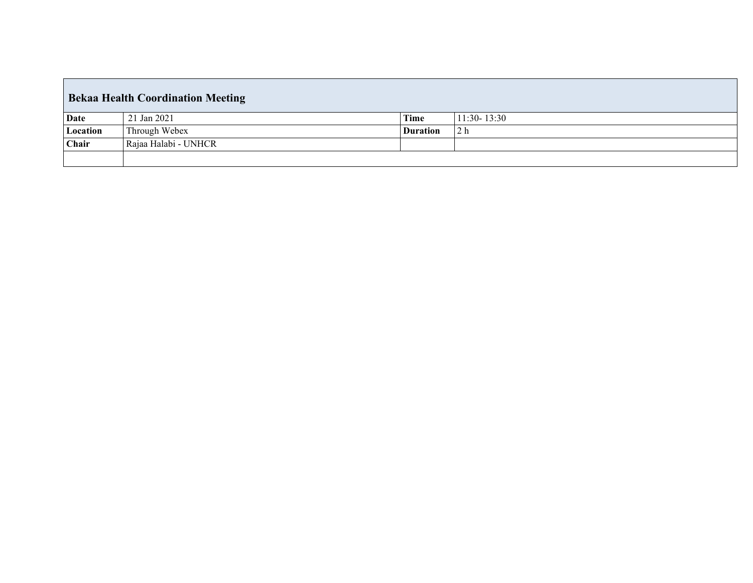| <b>Bekaa Health Coordination Meeting</b> |                      |                 |                 |  |  |
|------------------------------------------|----------------------|-----------------|-----------------|--|--|
| <b>Date</b>                              | 21 Jan 2021          | Time            | $11:30 - 13:30$ |  |  |
| Location                                 | Through Webex        | <b>Duration</b> | 2 <sub>h</sub>  |  |  |
| Chair                                    | Rajaa Halabi - UNHCR |                 |                 |  |  |
|                                          |                      |                 |                 |  |  |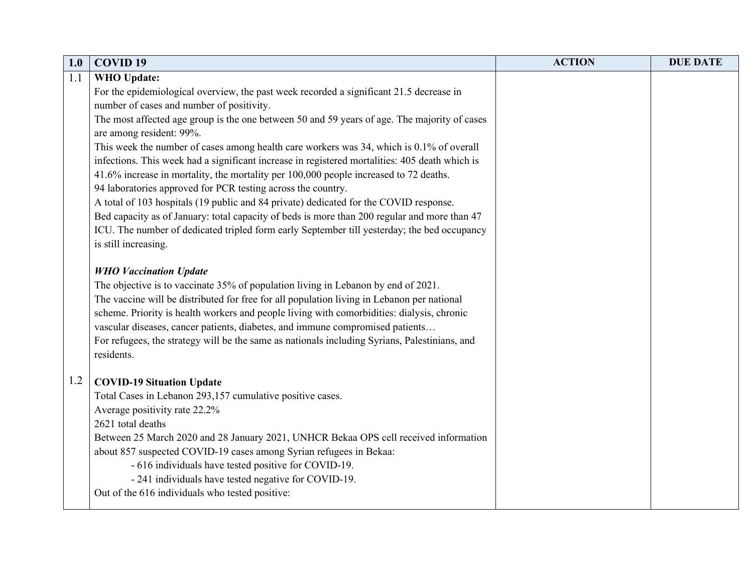| 1.0 | <b>COVID 19</b>                                                                                | <b>ACTION</b> | <b>DUE DATE</b> |
|-----|------------------------------------------------------------------------------------------------|---------------|-----------------|
| 1.1 | <b>WHO Update:</b>                                                                             |               |                 |
|     | For the epidemiological overview, the past week recorded a significant 21.5 decrease in        |               |                 |
|     | number of cases and number of positivity.                                                      |               |                 |
|     | The most affected age group is the one between 50 and 59 years of age. The majority of cases   |               |                 |
|     | are among resident: 99%.                                                                       |               |                 |
|     | This week the number of cases among health care workers was 34, which is 0.1% of overall       |               |                 |
|     | infections. This week had a significant increase in registered mortalities: 405 death which is |               |                 |
|     | 41.6% increase in mortality, the mortality per 100,000 people increased to 72 deaths.          |               |                 |
|     | 94 laboratories approved for PCR testing across the country.                                   |               |                 |
|     | A total of 103 hospitals (19 public and 84 private) dedicated for the COVID response.          |               |                 |
|     | Bed capacity as of January: total capacity of beds is more than 200 regular and more than 47   |               |                 |
|     | ICU. The number of dedicated tripled form early September till yesterday; the bed occupancy    |               |                 |
|     | is still increasing.                                                                           |               |                 |
|     | <b>WHO Vaccination Update</b>                                                                  |               |                 |
|     | The objective is to vaccinate 35% of population living in Lebanon by end of 2021.              |               |                 |
|     | The vaccine will be distributed for free for all population living in Lebanon per national     |               |                 |
|     | scheme. Priority is health workers and people living with comorbidities: dialysis, chronic     |               |                 |
|     | vascular diseases, cancer patients, diabetes, and immune compromised patients                  |               |                 |
|     | For refugees, the strategy will be the same as nationals including Syrians, Palestinians, and  |               |                 |
|     | residents.                                                                                     |               |                 |
|     |                                                                                                |               |                 |
| 1.2 | <b>COVID-19 Situation Update</b>                                                               |               |                 |
|     | Total Cases in Lebanon 293,157 cumulative positive cases.                                      |               |                 |
|     | Average positivity rate 22.2%                                                                  |               |                 |
|     | 2621 total deaths                                                                              |               |                 |
|     | Between 25 March 2020 and 28 January 2021, UNHCR Bekaa OPS cell received information           |               |                 |
|     | about 857 suspected COVID-19 cases among Syrian refugees in Bekaa:                             |               |                 |
|     | - 616 individuals have tested positive for COVID-19.                                           |               |                 |
|     | - 241 individuals have tested negative for COVID-19.                                           |               |                 |
|     | Out of the 616 individuals who tested positive:                                                |               |                 |
|     |                                                                                                |               |                 |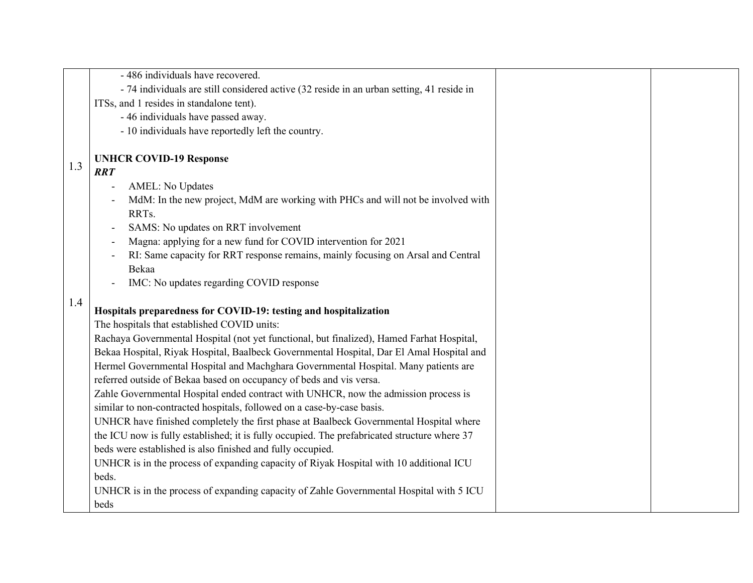|     | - 486 individuals have recovered.                                                            |  |
|-----|----------------------------------------------------------------------------------------------|--|
|     | - 74 individuals are still considered active (32 reside in an urban setting, 41 reside in    |  |
|     | ITSs, and 1 resides in standalone tent).                                                     |  |
|     | - 46 individuals have passed away.                                                           |  |
|     | - 10 individuals have reportedly left the country.                                           |  |
|     |                                                                                              |  |
| 1.3 | <b>UNHCR COVID-19 Response</b>                                                               |  |
|     | <b>RRT</b>                                                                                   |  |
|     | <b>AMEL: No Updates</b><br>$\overline{a}$                                                    |  |
|     | MdM: In the new project, MdM are working with PHCs and will not be involved with             |  |
|     | RRTs.                                                                                        |  |
|     | SAMS: No updates on RRT involvement                                                          |  |
|     | Magna: applying for a new fund for COVID intervention for 2021                               |  |
|     | RI: Same capacity for RRT response remains, mainly focusing on Arsal and Central             |  |
|     | Bekaa                                                                                        |  |
|     | IMC: No updates regarding COVID response                                                     |  |
| 1.4 | Hospitals preparedness for COVID-19: testing and hospitalization                             |  |
|     | The hospitals that established COVID units:                                                  |  |
|     | Rachaya Governmental Hospital (not yet functional, but finalized), Hamed Farhat Hospital,    |  |
|     | Bekaa Hospital, Riyak Hospital, Baalbeck Governmental Hospital, Dar El Amal Hospital and     |  |
|     | Hermel Governmental Hospital and Machghara Governmental Hospital. Many patients are          |  |
|     | referred outside of Bekaa based on occupancy of beds and vis versa.                          |  |
|     | Zahle Governmental Hospital ended contract with UNHCR, now the admission process is          |  |
|     | similar to non-contracted hospitals, followed on a case-by-case basis.                       |  |
|     | UNHCR have finished completely the first phase at Baalbeck Governmental Hospital where       |  |
|     | the ICU now is fully established; it is fully occupied. The prefabricated structure where 37 |  |
|     | beds were established is also finished and fully occupied.                                   |  |
|     | UNHCR is in the process of expanding capacity of Riyak Hospital with 10 additional ICU       |  |
|     | beds.                                                                                        |  |
|     | UNHCR is in the process of expanding capacity of Zahle Governmental Hospital with 5 ICU      |  |
|     | beds                                                                                         |  |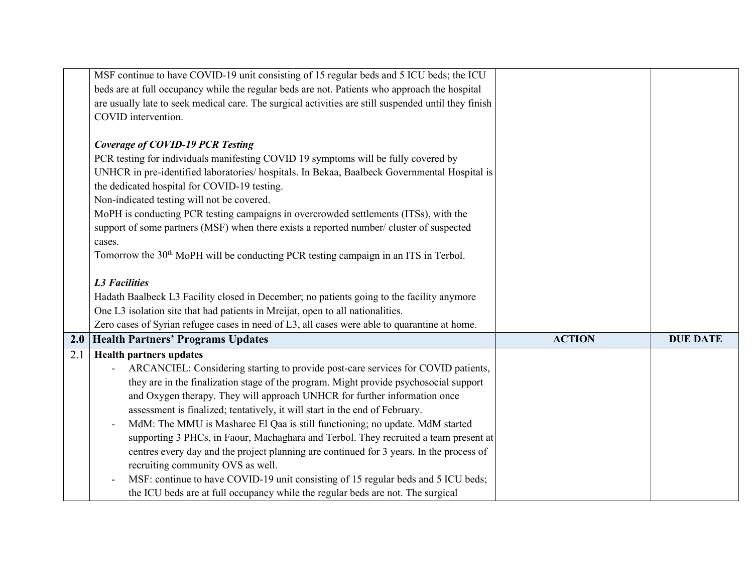|     | MSF continue to have COVID-19 unit consisting of 15 regular beds and 5 ICU beds; the ICU                 |               |                 |
|-----|----------------------------------------------------------------------------------------------------------|---------------|-----------------|
|     | beds are at full occupancy while the regular beds are not. Patients who approach the hospital            |               |                 |
|     | are usually late to seek medical care. The surgical activities are still suspended until they finish     |               |                 |
|     | COVID intervention.                                                                                      |               |                 |
|     |                                                                                                          |               |                 |
|     | Coverage of COVID-19 PCR Testing                                                                         |               |                 |
|     | PCR testing for individuals manifesting COVID 19 symptoms will be fully covered by                       |               |                 |
|     | UNHCR in pre-identified laboratories/ hospitals. In Bekaa, Baalbeck Governmental Hospital is             |               |                 |
|     | the dedicated hospital for COVID-19 testing.                                                             |               |                 |
|     | Non-indicated testing will not be covered.                                                               |               |                 |
|     | MoPH is conducting PCR testing campaigns in overcrowded settlements (ITSs), with the                     |               |                 |
|     | support of some partners (MSF) when there exists a reported number/ cluster of suspected                 |               |                 |
|     | cases.                                                                                                   |               |                 |
|     | Tomorrow the 30 <sup>th</sup> MoPH will be conducting PCR testing campaign in an ITS in Terbol.          |               |                 |
|     |                                                                                                          |               |                 |
|     | <b>L3 Facilities</b>                                                                                     |               |                 |
|     | Hadath Baalbeck L3 Facility closed in December; no patients going to the facility anymore                |               |                 |
|     | One L3 isolation site that had patients in Mreijat, open to all nationalities.                           |               |                 |
|     | Zero cases of Syrian refugee cases in need of L3, all cases were able to quarantine at home.             |               |                 |
|     | 2.0 Health Partners' Programs Updates                                                                    | <b>ACTION</b> | <b>DUE DATE</b> |
| 2.1 | <b>Health partners updates</b>                                                                           |               |                 |
|     | ARCANCIEL: Considering starting to provide post-care services for COVID patients,                        |               |                 |
|     | they are in the finalization stage of the program. Might provide psychosocial support                    |               |                 |
|     | and Oxygen therapy. They will approach UNHCR for further information once                                |               |                 |
|     | assessment is finalized; tentatively, it will start in the end of February.                              |               |                 |
|     | MdM: The MMU is Masharee El Qaa is still functioning; no update. MdM started<br>$\overline{\phantom{a}}$ |               |                 |
|     | supporting 3 PHCs, in Faour, Machaghara and Terbol. They recruited a team present at                     |               |                 |
|     | centres every day and the project planning are continued for 3 years. In the process of                  |               |                 |
|     | recruiting community OVS as well.                                                                        |               |                 |
|     | MSF: continue to have COVID-19 unit consisting of 15 regular beds and 5 ICU beds;                        |               |                 |
|     | the ICU beds are at full occupancy while the regular beds are not. The surgical                          |               |                 |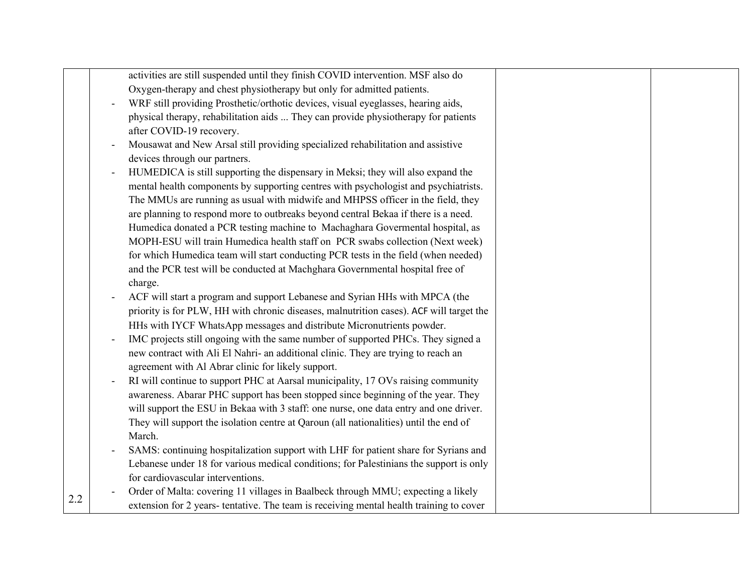|     |                          | activities are still suspended until they finish COVID intervention. MSF also do        |  |
|-----|--------------------------|-----------------------------------------------------------------------------------------|--|
|     |                          | Oxygen-therapy and chest physiotherapy but only for admitted patients.                  |  |
|     |                          | WRF still providing Prosthetic/orthotic devices, visual eyeglasses, hearing aids,       |  |
|     |                          | physical therapy, rehabilitation aids  They can provide physiotherapy for patients      |  |
|     |                          | after COVID-19 recovery.                                                                |  |
|     | $\overline{\phantom{0}}$ | Mousawat and New Arsal still providing specialized rehabilitation and assistive         |  |
|     |                          | devices through our partners.                                                           |  |
|     |                          | HUMEDICA is still supporting the dispensary in Meksi; they will also expand the         |  |
|     |                          | mental health components by supporting centres with psychologist and psychiatrists.     |  |
|     |                          | The MMUs are running as usual with midwife and MHPSS officer in the field, they         |  |
|     |                          | are planning to respond more to outbreaks beyond central Bekaa if there is a need.      |  |
|     |                          | Humedica donated a PCR testing machine to Machaghara Govermental hospital, as           |  |
|     |                          | MOPH-ESU will train Humedica health staff on PCR swabs collection (Next week)           |  |
|     |                          | for which Humedica team will start conducting PCR tests in the field (when needed)      |  |
|     |                          | and the PCR test will be conducted at Machghara Governmental hospital free of           |  |
|     |                          | charge.                                                                                 |  |
|     |                          | ACF will start a program and support Lebanese and Syrian HHs with MPCA (the             |  |
|     |                          | priority is for PLW, HH with chronic diseases, malnutrition cases). ACF will target the |  |
|     |                          | HHs with IYCF WhatsApp messages and distribute Micronutrients powder.                   |  |
|     |                          | IMC projects still ongoing with the same number of supported PHCs. They signed a        |  |
|     |                          | new contract with Ali El Nahri- an additional clinic. They are trying to reach an       |  |
|     |                          | agreement with Al Abrar clinic for likely support.                                      |  |
|     |                          | RI will continue to support PHC at Aarsal municipality, 17 OVs raising community        |  |
|     |                          | awareness. Abarar PHC support has been stopped since beginning of the year. They        |  |
|     |                          | will support the ESU in Bekaa with 3 staff: one nurse, one data entry and one driver.   |  |
|     |                          | They will support the isolation centre at Qaroun (all nationalities) until the end of   |  |
|     |                          | March.                                                                                  |  |
|     |                          | SAMS: continuing hospitalization support with LHF for patient share for Syrians and     |  |
|     |                          | Lebanese under 18 for various medical conditions; for Palestinians the support is only  |  |
|     |                          | for cardiovascular interventions.                                                       |  |
| 2.2 |                          | Order of Malta: covering 11 villages in Baalbeck through MMU; expecting a likely        |  |
|     |                          | extension for 2 years-tentative. The team is receiving mental health training to cover  |  |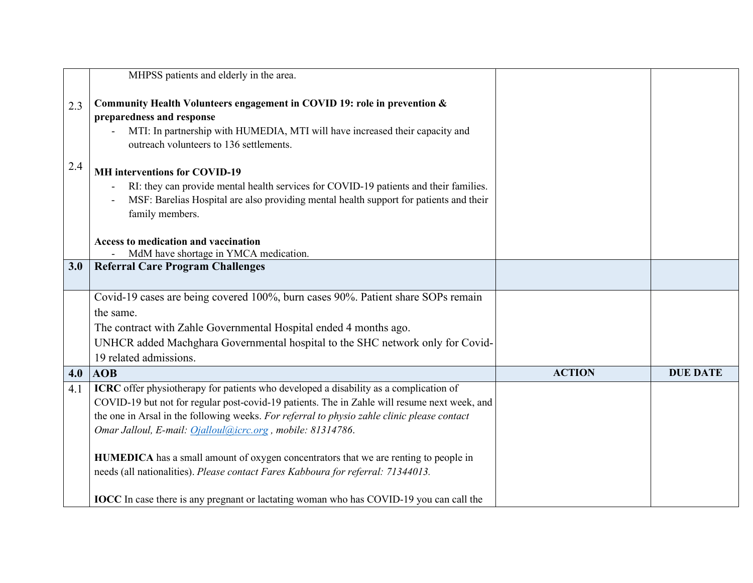|     | MHPSS patients and elderly in the area.                                                                                                                                                                                                                                                                                                            |               |                 |
|-----|----------------------------------------------------------------------------------------------------------------------------------------------------------------------------------------------------------------------------------------------------------------------------------------------------------------------------------------------------|---------------|-----------------|
| 2.3 | Community Health Volunteers engagement in COVID 19: role in prevention &<br>preparedness and response<br>MTI: In partnership with HUMEDIA, MTI will have increased their capacity and<br>outreach volunteers to 136 settlements.                                                                                                                   |               |                 |
| 2.4 | <b>MH</b> interventions for COVID-19<br>RI: they can provide mental health services for COVID-19 patients and their families.<br>MSF: Barelias Hospital are also providing mental health support for patients and their<br>family members.<br>Access to medication and vaccination<br>MdM have shortage in YMCA medication.                        |               |                 |
| 3.0 | <b>Referral Care Program Challenges</b>                                                                                                                                                                                                                                                                                                            |               |                 |
|     | Covid-19 cases are being covered 100%, burn cases 90%. Patient share SOPs remain<br>the same.<br>The contract with Zahle Governmental Hospital ended 4 months ago.<br>UNHCR added Machghara Governmental hospital to the SHC network only for Covid-<br>19 related admissions.                                                                     |               |                 |
| 4.0 | <b>AOB</b>                                                                                                                                                                                                                                                                                                                                         | <b>ACTION</b> | <b>DUE DATE</b> |
| 4.1 | ICRC offer physiotherapy for patients who developed a disability as a complication of<br>COVID-19 but not for regular post-covid-19 patients. The in Zahle will resume next week, and<br>the one in Arsal in the following weeks. For referral to physio zahle clinic please contact<br>Omar Jalloul, E-mail: Ojalloul@icrc.org, mobile: 81314786. |               |                 |
|     | HUMEDICA has a small amount of oxygen concentrators that we are renting to people in<br>needs (all nationalities). Please contact Fares Kabboura for referral: 71344013.                                                                                                                                                                           |               |                 |
|     | <b>IOCC</b> In case there is any pregnant or lactating woman who has COVID-19 you can call the                                                                                                                                                                                                                                                     |               |                 |